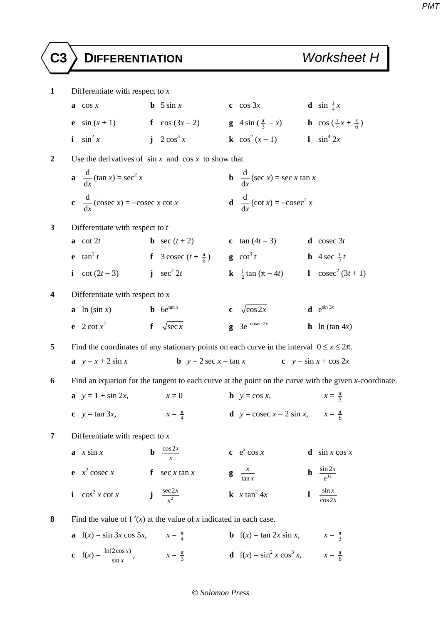**C3 DIFFERENTIATION** *Worksheet H*

**1** Differentiate with respect to *x*

**a** cos *x* **b** 5 sin *x* **c** cos 3*x* **d** sin  $\frac{1}{4}x$ **e** sin (*x* + 1) **f** cos (3*x* - 2) **g** 4 sin ( $\frac{\pi}{3}$  - *x*) **h** cos ( $\frac{1}{2}$ *x* +  $\frac{\pi}{6}$ ) **i**  $\sin^2 x$  $i \quad 2 \cos^3 x$ *x* **k**  $\cos^2(x-1)$  **l**  $\sin^4 2x$ **2** Use the derivatives of sin *x* and cos *x* to show that  $\frac{d}{dx}$ d*x*  $(\tan x) = \sec^2 x$ *x* **b**  $\frac{d}{dx}$ d*x*  $(\sec x) = \sec x \tan x$ c  $\frac{d}{t}$ d*x*  $(\csc x) = -\csc x \cot x$  **d**  $\frac{d}{dx}$ d*x*  $(\cot x) = -\csc^2 x$ **3** Differentiate with respect to *t* **a** cot 2*t* **b** sec (*t* + 2) **c** tan (4*t* − 3) **d** cosec 3*t* **e**  $\tan^2 t$  **f** 3 cosec  $(t + \frac{\pi}{6})$  **g**  $\cot^3 t$ **g** cot<sup>3</sup> *t* **h** 4 sec  $\frac{1}{2}$ *t* **i** cot  $(2t - 3)$  **j** sec<sup>2</sup> 2*t* 2*t* **k**  $\frac{1}{2}$  tan ( $\pi - 4t$ ) **l** cosec<sup>2</sup> (3*t* + 1) **4** Differentiate with respect to *x* **a** ln (sin *x*) **b** 6e<sup>tan *x*</sup> **c**  $\sqrt{\cos 2x}$  **d** e<sup>sin 3*x*</sup> **e** 2 cot  $x^2$  $\int \sec x$  **g** 3e<sup>-cosec 2*x* **h** ln (tan 4*x*)</sup> **5** Find the coordinates of any stationary points on each curve in the interval  $0 \le x \le 2\pi$ . **a**  $y = x + 2 \sin x$  **b**  $y = 2 \sec x - \tan x$  **c**  $y = \sin x + \cos 2x$ **6** Find an equation for the tangent to each curve at the point on the curve with the given *x*-coordinate. **a**  $y = 1 + \sin 2x$ ,  $x = 0$  **b**  $y = \cos x$ ,  $x=\frac{\pi}{3}$ **c**  $y = \tan 3x$ , **d**  $y = \csc x - 2 \sin x$ ,  $x = \frac{\pi}{6}$ **7** Differentiate with respect to *x* **a** *x* sin *x* **b**  $\frac{\cos 2x}{x}$  **c** e<sup>x</sup> c  $e^x \cos x$  **d**  $\sin x \cos x$ **e**  $x^2$  cosec *x* **f** sec *x* tan *x* **g**  $\frac{x}{\tan x}$ **g**  $\frac{x}{\tan x}$  $\frac{\sin 2}{e^{3x}}$  $e^{3x}$ *x* **i**  $\cos^2 x \cot x$  **j**  $\frac{\sec 2x}{x^2}$  $\frac{c2x}{x^2}$  **k** *x* tan<sup>2</sup> 4*x* **l**  $\frac{\sin x}{\cos x}$ cos2 *x x* 8 Find the value of  $f'(x)$  at the value of *x* indicated in each case. **a**  $f(x) = \sin 3x \cos 5x$ ,  $x = \frac{\pi}{4}$ **b**  $f(x) = \tan 2x \sin x$ ,  $x = \frac{\pi}{3}$ **c**  $f(x) = \frac{\ln(2\cos x)}{\sin x}$  $x = \frac{\pi}{3}$  **d** f(*x*) = sin<sup>2</sup> *x* cos<sup>3</sup> *x*, *x* =  $\frac{\pi}{6}$ 

## *Solomon Press*